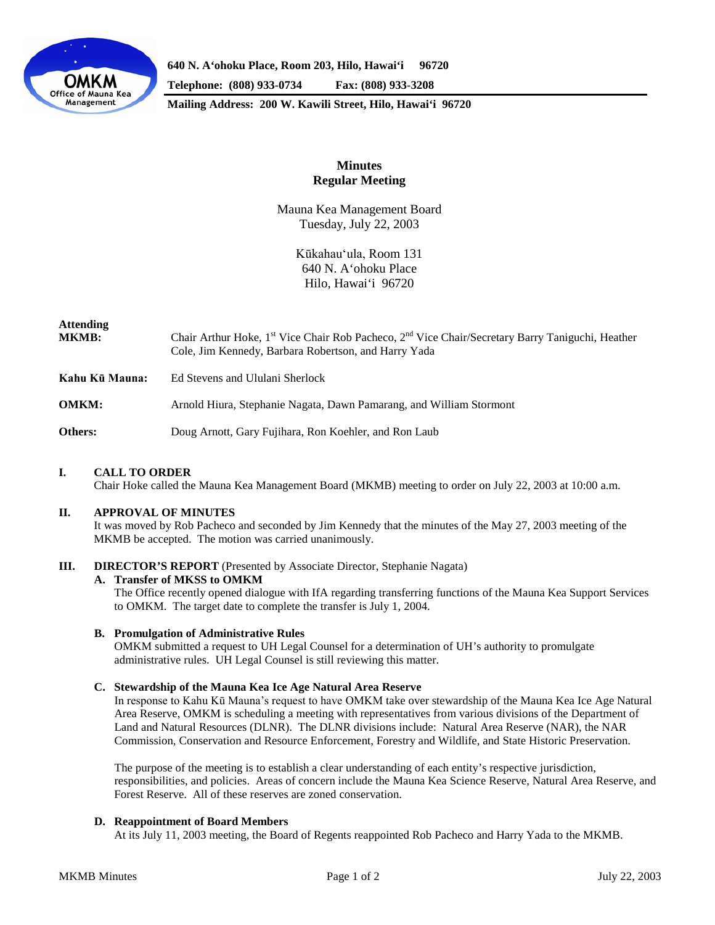

**640 N. A'ohoku Place, Room 203, Hilo, Hawai'i 96720 Telephone: (808) 933-0734 Fax: (808) 933-3208**

**Mailing Address: 200 W. Kawili Street, Hilo, Hawai'i 96720**

# **Minutes Regular Meeting**

Mauna Kea Management Board Tuesday, July 22, 2003

> Kūkahau'ula, Room 131 640 N. A'ohoku Place Hilo, Hawai'i 96720

# **Attending**

| <b>MKMB:</b> | Chair Arthur Hoke, 1 <sup>st</sup> Vice Chair Rob Pacheco, 2 <sup>nd</sup> Vice Chair/Secretary Barry Taniguchi, Heather |
|--------------|--------------------------------------------------------------------------------------------------------------------------|
|              | Cole, Jim Kennedy, Barbara Robertson, and Harry Yada                                                                     |

**Kahu Kū Mauna:** Ed Stevens and Ululani Sherlock

**OMKM:** Arnold Hiura, Stephanie Nagata, Dawn Pamarang, and William Stormont

**Others:** Doug Arnott, Gary Fujihara, Ron Koehler, and Ron Laub

# **I. CALL TO ORDER**

Chair Hoke called the Mauna Kea Management Board (MKMB) meeting to order on July 22, 2003 at 10:00 a.m.

# **II. APPROVAL OF MINUTES**

It was moved by Rob Pacheco and seconded by Jim Kennedy that the minutes of the May 27, 2003 meeting of the MKMB be accepted. The motion was carried unanimously.

# **III. DIRECTOR'S REPORT** (Presented by Associate Director, Stephanie Nagata)

#### **A. Transfer of MKSS to OMKM**

The Office recently opened dialogue with IfA regarding transferring functions of the Mauna Kea Support Services to OMKM. The target date to complete the transfer is July 1, 2004.

#### **B. Promulgation of Administrative Rules**

OMKM submitted a request to UH Legal Counsel for a determination of UH's authority to promulgate administrative rules. UH Legal Counsel is still reviewing this matter.

#### **C. Stewardship of the Mauna Kea Ice Age Natural Area Reserve**

In response to Kahu Kū Mauna's request to have OMKM take over stewardship of the Mauna Kea Ice Age Natural Area Reserve, OMKM is scheduling a meeting with representatives from various divisions of the Department of Land and Natural Resources (DLNR). The DLNR divisions include: Natural Area Reserve (NAR), the NAR Commission, Conservation and Resource Enforcement, Forestry and Wildlife, and State Historic Preservation.

The purpose of the meeting is to establish a clear understanding of each entity's respective jurisdiction, responsibilities, and policies. Areas of concern include the Mauna Kea Science Reserve, Natural Area Reserve, and Forest Reserve. All of these reserves are zoned conservation.

# **D. Reappointment of Board Members**

At its July 11, 2003 meeting, the Board of Regents reappointed Rob Pacheco and Harry Yada to the MKMB.